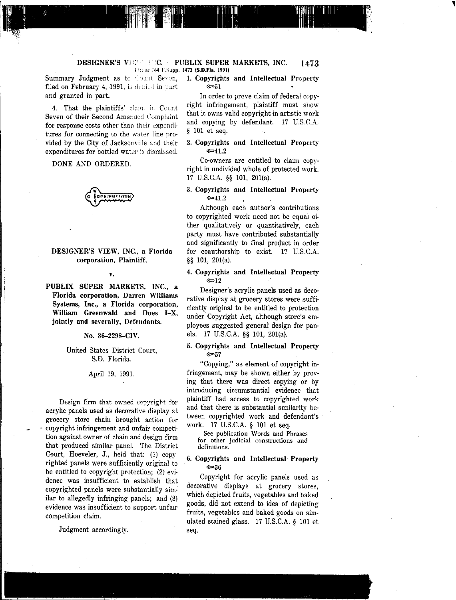#### 1473 DESIGNER'S VIEW FEC. PUBLIX SUPER MARKETS, INC. li( a-; :i~ ,",S'lpp 1473 (S.D.Fla. 1991)

filed on February 4, 1991, is denied in part  $\infty$ 51 and granted in part. In order to prove claim of federal copy-

4. That the plaintiffs' claim in Count Seven of their Second Amended Complaint for response costs other than their expenditures for connecting to the water line provided by the City of Jacksonville and their expenditures for bottled water is dismissed.

DONE AND ORDERED.

IMBER SYST

## DESIGNER'S VIEW, INC., a Florida corporation, Plaintiff,

v.

PUBLIX SUPER MARKETS, INC., a **Florida corporation, Darren Williams Systems,** Inc., **a Florida corporation,** William Greenwald and Does I-X, jointly and severally, Defendants.

#### No. 86-2298-CIV.

United States District Court, S.D. Florida.

April 19, 1991.

Design firm that owned copyright for acrylic panels used as decorative display at grocery store chain brought action for .. copyright infringement and unfair competition against owner of chain and design firm that produced similar panel. The District Court, Hoeveler, J., held that: (1) copyrighted panels were sufficiently original to be entitled to copyright protection; (2) evidence was insufficient to establish that copyrighted panels were substantially similar to allegedly infringing panels; and (3) evidence was insufficient to support unfair competition claim.

Judgment accordingly.

# Summary Judgment as to Count Seven, 1. Copyrights and Intellectual Property

right infringement, plaintiff must show that it owns valid copyright in artistic work and copying by defendant. 17 U.S.C.A. § 101 et seq.

#### 2. Copyrights and Intellectual Property  $\in 41.2$

Co-owners are entitled to claim copyright in undivided whole of protected work. 17 U.S.C.A. §§ 101, 201(a).

#### 3. Copyrights and Intellectual Property  $\simeq 41.2$

Although each author's contributions to copyrighted work need not be equal either qualitatively or quantitatively, each party must have contributed substantially and significantly to final product in order for coauthorship to exist. 17 U.S.C.A. §§ 101, 201(a).

#### 4. Copyrights and Intellectual Property *>P12*

Designer's acrylic panels used as decorative display at grocery stores were sufficiently original to be entitled to protection under Copyright Act, although store's employees suggested general design for panels. 17 U.S.C.A. §§ 101, 201(a).

#### 5. Copyrights and Intellectual Property *>P57*

"Copying," as element of copyright infringement, may be shown either by proving that there was direct copying or by introducing circumstantial evidence that plaintiff had access to copyrighted work and that there is substantial similarity between copyrighted work and defendant's work. 17 U.S.C.A. § 101 et seq.

See publication Words and Phrases for other judicial constructions and definitions.

#### 6. Copyrights and Intellectual Property *>P36*

Copyright for acrylic panels used as decorative displays at grocery stores, which depicted fruits, vegetables and baked goods, did not extend to idea of depicting fruits, vegetables and baked goods on simulated stained glass. 17 U.S.C.A. § 101 et seq.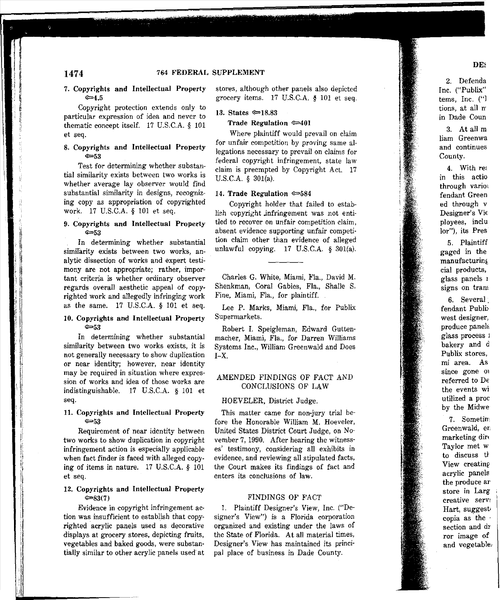#### 7. Copyrights and Intellectual Property  $\simeq 4.5$

Copyright protection extends only to particular expression of idea and never to thematic concept itself. 17 U.S.C.A. § 101 et seq.

#### 8. Copyrights and Intellectual Property  $\epsilon$ =53

Test for determining whether substantial similarity exists between two works is whether average lay observer would find substantial similarity in designs, recognizing copy as appropriation of copyrighted work. 17 U.S.C.A. § 101 et seq.

#### 9. Copyrights and Intellectual Property  $\infty$ 53

In determining whether substantial similarity exists between two works, analytic dissection of works and expert testimany are not appropriate; rather, important criteria is whether ordinary observer regards overall aesthetic appeal of copyrighted work and allegedly infringing work as the same. 17 U.S.C.A. § 101 et seq.

#### 10. Copyrights and Intellectual Property  $G = 53$

In determining whether substantial similarity between two works exists, it is not generally necessary to show duplication or near identity; however, near identity may be required in situation where expression of works and idea of those works are indistinguishable. 17 U.S.C.A. § 101 et seq.

#### 11. Copyrights and Intellectual Property  $\epsilon$ =53

Requirement of near identity between two works to show duplication in copyright infringement action is especially applicable when fact finder is faced with alleged copying of items in nature. 17 U.S.C.A. § 101 et seq.

#### 12. Copyrights and Intellectual Property  $\infty83(7)$

Evidence in copyright infringement action was insufficient to establish that copyrighted acrylic panels used as decorative displays at grocery stores, depicting fruits, vegetables and baked goods, were substantially similar to other acrylic panels used at stores, although other panels also depicted grocery items. 17 U.S.C.A. § 101 et seq.

#### 13. States  $\approx 18.83$

#### Trade Regulation  $\infty$ 401

Where plaintiff would prevail on claim for unfair competition by proving same allegations necessary to prevail on claims for federal copyright infringement, state law claim is preempted by Copyright Act. 17 U.S.C.A. § 301(a).

#### 14. Trade Regulation  $\infty$ 584

Copyright holder that failed to establieh copyright .infringernent was not entitled to recover on unfair competition claim, absent evidence supporting unfair competition claim other than evidence of alleged unlawful copying. 17 U.S.C.A. § 301(a).

Charles G. White, Miami, Fla., David M. Shenkman, Coral Gables, Fla., Shalle S. Fine, Miami, Fla., for plaintiff.

Lee P. Marks, Miami, Fla., for Publix Supermarkets.

Robert 1. Speigleman, Edward Gutten· macher, Miami, Fla., for Darren Williams Systems Inc., William Greenwald and Does  $I-X.$ 

#### AMENDED FINDINGS OF FACT AND CONCLUSIONS OF LAW

#### HOEVELER, District Judge.

This matter came for non-jury trial before the Honorable William M. Hoeveler, United States District Court Judge, on November 7, 1990. After hearing the witness' es' testimony, considering all exhibits in evidence, and reviewing all stipulated facts, the Court makes its findings of fact and enters its conclusions of law.

#### FINDINGS OF FACT

1. Plaintiff Designer's View, Inc. ("De· signer's View") is a Florida corporation organized and existing under the laws of the State of Florida. At all material times, Designer's. View has maintained its principal place of business in Dade County.

2. Defenda Inc. ("Publix" terns, Inc. ("] tions, at all n in Dade Coun

3. At all m liam Greenwa and continues County.

4. With res in this actio through varioi fendant Green ed through v Designer's Vie ployees, inclu lor"), its Pres

5. Plaintiff gaged in the manufacturing cial products, glass panels r signs on tram

6. Several. fendant Publi west designer, produce panels glass process 1 bakery and d Publix stores, mi area. As since gone  $\circ$ referred to De the events wi utilized a proc by the Midwe

7. Sometim Greenwald, en marketing dire Taylor met w to discuss th View creating acrylic panels the produce ar store in Larg creative servi Hart, suggestcopia as the section and dr ror image of and vegetable,

## DE:

 $\gamma$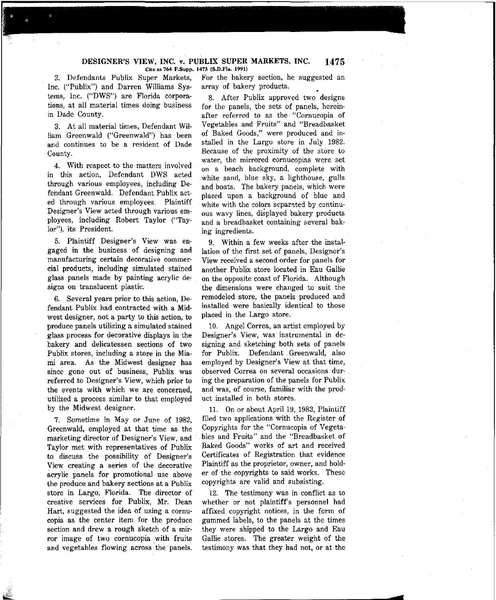#### **DESIGNER'S VIEW, INC. v. PUBLIX SUPER MARKETS, INC. Cite as 764 F.Supp. 1473 (S.D.Fla. 1991) 1475**

2. Defendants Publix Super Markets, Inc. ("Publix") and Darren Williams Sys $tems.$  Inc. ("DWS") are Florida corpora**tions, at all material times doing business** in Dade County.

3. At all material times, Defendant William Greenwald ("Greenwald") has been **and continues to be a resident of Dade** County.

4. With respect to the matters involved in this action, Defendant DWS acted **through various employees, including De**fendant Greenwald. Defendant Publix acted through various employees. Plaintiff **Designer's View acted through various em**ployees, including Robert Taylor ("Tay**lor"), its President.**

**5. Plaintiff Designer's View was en**gaged in the business of designing and **manufacturing certain decorative commer**cial products, including simulated stained glass panels made by painting acrylic de**signs on translucent plastic.**

6. Several years prior to this action, Defendant Publix had contracted with a Midwest designer, not a party to this action, to produce panels utilizing a simulated stained glass process for decorative displays in the hakery and delicatessen sections of two Publix stores, including a store in the Miami area. As the Midwest designer has **since gone out of business, Publix was referred to Designer's View, which prior to the events with which we are concerned,** utilized a process similar to that employed by the Midwest designer.

**7. Sometime in Mayor June of 1982,** Greenwald, employed at that time as the **marketing director of Designer's View, and** Taylor met with representatives of Publix to discuss the possibility of Designer's **View creating a series of the decorative acrylic panels for promotional use above** the produce and bakery sections at a Publix store in Largo, Florida. The director of **creative services for Publix, Mr. Dean** Hart, suggested the idea of using a cornu**copia as the center item for the produce** section and drew a rough sketch of a mirror image of two cornucopia with fruits and vegetables flowing across' the panels.

**For the bakery section, he suggested an** array of bakery products.

8. After Publix approved two designs **for the panels, the sets of panels, hereinafter referred to as the'** "Cornucopia **of** Vegetables and Fruits" and "Breadbasket **of Baked Goods," were produced and in**stalled in the Largo store in July 1982. Because of the proximity of the store to **water, the mirrored cornucopias were set** on a beach background, complete with white sand, blue sky, a lighthouse, gulls and boats. The bakery panels, which were placed upon a background of blue and **white with the colors** separated **by continuous wavy lines, displayed bakery products** and a breadbasket containing several bak**ing ingredients.**

9. Within a few weeks after the installation of the first set of panels, Designer's **View received a second order for panels for** another Publix store located in Eau Gallie on the opposite coast of Florida. Although **the dimensions** were **changed to suit the** remodeled store, the panels produced and installed were basically identical to those placed in the Largo store.

10. Angel Correa, an artist employed by **Designer's View,** was **instrumental in de**signing and sketching both sets of panels for Publix. Defendant Greenwald, also employed by Designer's View at that time, **observed Correa on several occasions dur**ing the preparation of the panels for Publix and was, of course, familiar with the product installed in both stores.

11. On or about April 19, 1983, Plaintiff filed two applications with the Register of Copyrights for the "Cornucopia of Vegetables and Fruits" and the "Breadbasket of **Baked Goods" works of art and received** Certificates of Registration that evidence Plaintiff as the proprietor, owner, and holder of the copyrights to said works. These copyrights are valid and subsisting.

12. The testimony was in conflict as to whether or not plaintiff's personnel had affixed copyright notices, in the form of gummed labels, to the panels at the times they were shipped to the Largo and Eau Gallie stores. The greater weight of the testimony was that they had not, or at the

**<**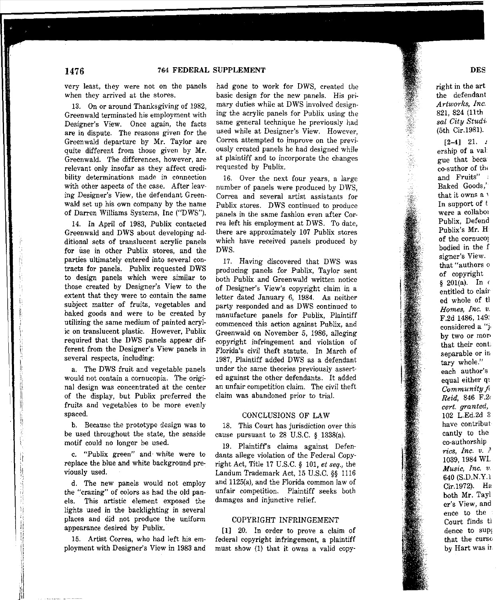#### very least, they were not on the panels when they arrived at the stores.

13. On or around Thanksgiving of 1982, Greenwald terminated his employment with **Designer's View. Once again, the facts are in dispute. The reasons given for the** Greenwald departure by Mr. Taylor are quite different from those given by Mr. Greenwald. The differences, however, are relevant only insofar as they affect credi**bility determinations made in connection** with other aspects of the case. After leav**ing Designer's View, the defendant Green**wald set up his own company by the name of Darren Williams Systems, Inc ("DWS").

14. In April of 1983, Publix contacted Greenwald and DWS about developing additional sets of translucent acrylic panels **for use in other Publix stores, and the** parties ultimately entered into several contracts for panels. Publix requested DWS to design panels which were similar to those created by Designer's View to the extent that they were to contain the same subject matter of fruits, vegetables and baked goods and were to be created by utilizing the same medium of painted acrylic on translucent plastic. However, Publix required that the DWS panels appear different from the Designer's View panels in **several respects, including:**

a. The DWS fruit and vegetable panels **would not contain a cornucopia. The** origi**nal design was concentrated at the center** of the display, but Publix preferred the fruits and vegetables to be more evenly spaced.

**b. Because the prototype design was to** be used throughout the state, the seaside motif could no longer be used.

**c.** "Publix **green" and· white were to** replace the blue and white background previously used.

d. The new panels would not employ **the "crazing" of colors as had the old pan**els. This artistic element exposed the lights used in the backlighting in several places and did not produce the uniform appearance desired by Publix.

15. Artist Correa, who had left his employment with Designer's View in 1983 and had gone to work for DWS, created the **basic design for the new panels. His pri**mary duties while at DWS involved designing the acrylic panels for Publix using the same general technique he previously had **used while at Designer's View. However, Correa attempted to** Improve **on the previ**ously created panels he had designed while at plaintiff and to incorporate the changes requested by Publix.

16. Over the next fonr years, a large number of panels were produced by DWS, **Correa and several artist assistants for** Publix stores. DWS continued to produce **panels in the same fashion even after Cor**rea left his employment at DWS. To date, there are approximately 107 Publix stores which have received panels produced by DWS.

17. Having discovered that DWS was producing panels for Publix, Taylor sent both Publix and Greenwald written notice of Designer's View's copyright claim in a letter dated January 6, 1984. As neither party responded and as DWS continued to manufacture panels for Publix, Plaintiff **commenced this action against** Publix, **and** Greenwald on November 5, 1986, alleging copyright infringement and violation of Florida's civil theft statute. In March of 1987, Plaintiff added DWS as a defendant **under the same theories previously** asserted against the other defendants. It added an unfair competition claim. The civil theft **claim was abandoned prior to trial.**

#### CONCLUSIONS OF LAW

18. This Court has jurisdiction over this cause pursuant to 28 U.S.C. § 1338(a).

19. Plaintiffs claims against Defendants allege violation of the Federal Copyright Act, Title 17 U.S.C. § 101, *et seq.,* the Landum Trademark Act, 15 U.S.C. §§ 1116 and 1125(a), and the Florida common law of unfair competition. Plaintiff seeks both **damages and injunctive relief.**

#### COPYRIGHT INFRINGEMENT

[I] 20. In order to prove a claim of federal copyright infringement, a plaintiff must show (1) that it owns a valid copyright in the art the defendant *Artworks, Inc.* 821, 824 (11th *sal City Studi.* (5th Cir.1981).

 $[2-4]$  21. 1 ership of a val gue that beca eo-suthor of the **and Fruits"** : Baked Goods,' **that it owns a** , In support of t **were a** eollabor Publix, Defend Publix's Mr. H of the cornucoj bodied in the f **signer's View. that "authors** 0 of copyright § 201(a). In ( entitled to clair ed whole of tl *Homes, Inc. v.* F.2d 1486, 149; **considered a** "j, **by two or** morthat their cont. **separable or in tary whole." each author's** equal either qi *Community* fi *Reid,* 846 F.2( *cert. granted,* 102 L.Ed.2d 3 **have contribut** cantly to the co-authorship *rice, Inc. v. }* 1039, 1984 WL *Music, Inc. v.* 640 (S.D.N.Y.I Cir.1972). H2 both Mr. Tayl **er's View, and** ence to the Court finds tl dence to sUPI that the curse by Hart was ir.

## **1476**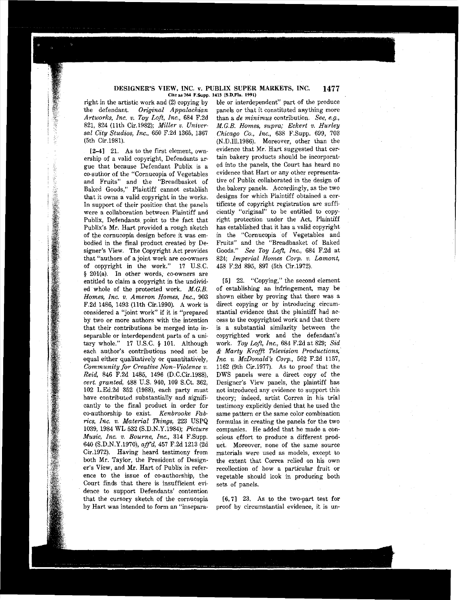#### DESIGNER'S VIEW, INC. v. PUBLIX SUPER MARKETS, INC. **Cite as 764 F.Supp. 1473 (S.D.Fla. 1991) 1477**

right in the artistic work and  $(2)$  copying by<br>the defendant. Original Appalachian the defendant. *Original Appalachian Artworks, Inc. v. Toy Loft, Inc.,* 684 F.2d 821, 824 (11th Cir.1982); *Miller v. Universal City Studios, Inc.,* 650 F.2d 1365, 1367 (5th Cir.1981).

[2-4] 21. As to the first element, ownership of a valid copyright, Defendants argue that because Defendant Publix is a co-suthor of the "Cornucopia of Vegetables and Fruits" and the "Breadbasket of Baked Goods," Plaintiff cannot establish that it owns a valid copyright in the works. In support of their position that the panels **were a collaboration between, Plaintiff and** Publix, Defendants. point to the fact that Publix's Mr. Hart provided a rough sketch **of the cornucopia design before it was em**bodied in the final product created by Designer's View. The Copyright Act provides **that "authors of a joint work are co-owners** of copyright in the work." 17 U.S.C. § 201(a). In other words, co-owners are entitled to claim a copyright in the undivided whole of the protected work. *M.G.B. Homes, Inc. v. Ameron Homes, Inc.,* **903** F.2d 1486, 1493 (11th Cir.1990). A work is **considered a "joint work" if it is** "prepared by two or more authors with the intention that their contributions be merged into inseparable or interdependent parts of a unitary whole." 17 U.S.C. § 101. Although **each author's contributions need not be** equal either qualitatively or quantitatively. *Community for Creative Non-Violence v. Reid,* 846 F.2d 1485, 1496 (D.C.Cir.1988), *cert. granted,* 488 U.S. 940, 109 S.Ct. 362, 102 L.Ed.2d 352 (1988), each party must have contributed substantially and significantly to the final product in order for co-authorship to exist. *Kenbrooke Fabrics, Inc. v. Material Things,* 223 USPQ 1039, 1984 WL 532 (S.D.N.Y.1984); *Picture Music, Inc. v. Bourne, lnc.,* 314 F.Supp. 640 (S.D.N.Y.1970), *affd,* 457 F.2d 1213 (2d Cir.1972). Having heard testimony from both Mr. Taylor, the President of Designer's View, and Mr. Hart of Publix in refer**ence to the issue of co-authorship, the** Court finds that there is insufficient evi**dence to support Defendants' contention** that the cursory sketch of the cornucopia by Hart was intended to form an "insepara-

ble or interdependent" part of the produce panels or that it constituted anything more **than a** *de minimus* **contribution.** *See, e.g., M.G.B. Homes, supra; Eckert v. Hurley Chicago Co., Inc.*, 638 F.Supp. 699, 703 (N.D.Ill.1986). Moreover, other than the evidence that Mr. Hart suggested that certain bakery products should be incorporated into the panels, the Court has heard no **evidence that Hart or any other representa**tive of Publix collaborated in the design of the bakery panels. Accordingly, as the two designs for which Plaintiff obtained a certificate of copyright registration are suffi**ciently "original" to be entitled to copy**right protection under the Act, Plaintiff has established that it has a valid copyright **in the** "Cornucopia **of Vegetables and** Fruits" and the "Breadbasket of Baked Goods." *See Toy Loft, Inc.,* 684 F.2d at 824; *Imperial Homes Corp. v. Lamont,* 458 F.2d 895, 897 (5th Cir.1972).

[5] 22. "Copying," the second element of establishing an infringement, may be shown either by proving that there was a **direct copying or by introducing circum**stantial evidence that the plaintiff had access to the copyrighted work and that there is a substantial similarity between the copyrighted work and the defendant's work. *Toy Loft, Inc.,* 684 F.2d at 829; *Sid* & *Marty Krafft Television Productions, Inc. v. McDonald's Corp.,* 562 F.2d 1157, 1162 (9th Cir.1977). As to proof that the DWS panels were a direct copy of the Designer's View panels, the plaintiff has **not introduced any evidence to support this theory; indeed, artist Correa in his trial** testimony explicitly denied that he used the **same pattern or the same color combination** formulas in creating the panels for the two companies. He added that he made a conscious effort to produce a different prod**uct. Moreover, none of the same source materials were used as models, except to** the extent that Correa relied on his own **recollection of how a particular fruit or** vegetable should look in producing both sets of panels.

[6,7] 23. As to the two-part test for **proof by circumstantial evidence, it is** un-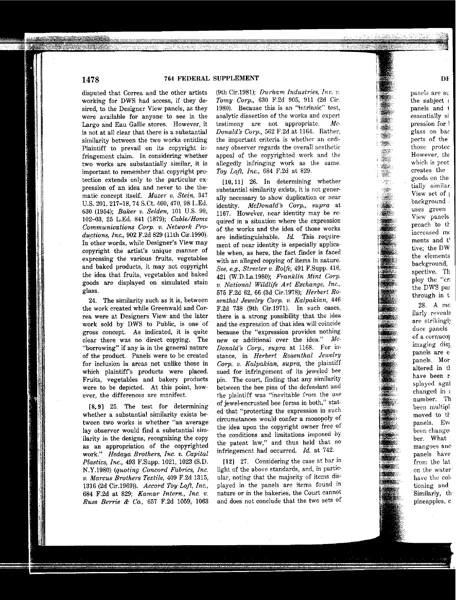## 1478 764 FEDERAL SUPPLEMENT DE

disputed that Correa and the other artists working for DWS had access, if they desired, to the Designer View panels, as they were available for anyone to see in the Largo and Eau Gallie stores. However, it is not at all clear that there is a substantial similarity between the two works entitling Plaintiff to prevail on its copyright infringement claim. In considering whether two works are substantially similar, it is important to remember that copyright protection extends only to the particular expression of an idea and never to the thematic concept itaelf. *Mazer v. Stein, 347* U.S. 201, 217-18, 74 S.Ct. 460, 470, 98 L.Ed. 630 (1954); *Baker v. Selden,* 101 U.S. 99, 102-03, 25 L.Ed. 841 (1879); *Cable/Home Communications Corp. v. Network Productions, Inc.,* 902 F.2d 829 (11th Cir.1990). In other words, while Designer's View may copyright the artist's unique manner of expressing the various fruits, vegetables and baked products, it may not copyright the idea that fruits, vegetables and baked goods are displayed on simulated stain glass.

24. The similarity such as it is, between the work created while Greenwald and Correa were at Designers View and the later work sold by DWS to Public, is one of gross concept. As indicated, it is quite clear there was no direct copying. The "borrowing" if any is in the general nature of the product. Panels were to be created for inclusion in areas not unlike those in which plaintiff's products were placed. Fruits, vegetables and bakery products were to be depicted. At this point, however, the differences are manifest.

[8,9] 25. The test for determining whether a substantial similarity exists between two works is whether "an average lay ohserver would find a substantial similarity in the designs, recognizing the copy as an appropriation of the copyrighted work." *Hedaya Brothers, Inc. v. Capital Plastics, Inc.,* 493 F.Supp. 1021, 1023 (S.D. N.Y.1980) *(quoting Concord Fabrics, Inc. v. Marcus Brothers Textile,* 409 F.2d 1315, 1316 (2d Cir.1969)). *Accord Toy Loft, Inc.,* 684 F.2d at 829; *Kamar Intern., Inc. v. Russ Berrie* & *co;* 657 F.2d 1059, 1063

-- --------~---------------------

(9th Cir.1981); *Durham Industries, In».* t', *Tomy Corp.,* 630 F.2d 905, 911 (2d Cir. 1980). Because this is an "intrinsic" test, analytic dissection of the works and expert testimony are not appropriate. *Mc-Donald's Corp.,* 562 F.2d at 1164. Rather, the important criteria is whether an ordinary observer regards the overall aesthetic appeal of the copyrighted work and the allegedly infringing work as the same. *Toy Loft, Inc.,* 684 F.2d at 829.

[10,11] 26. In determining whether substantial similarity exists, it is not generally necessary to show duplication or near identity. *McDonald's Corp., supra* at 1167. However, near identity may be required in a situation where the expression of the works and the idea of those works are indistinguishable, *Id.* This requirement of near identity is especially applicable when, as here, the fact finder is faced with an alleged copying of items in nature. *See, e.g., Streeter v. Rolfe,* 491 F.Supp. 416, 421 (W.D.La.1980); *Franklin Mint Corp. v. National Wildlife Art Exchange, Inc.,* 575 F.2d 62, 66 (3d Cir.1978); *Herbert Rosenthal Jewelry Corp. v. Kalpakian, 446* F.2d 738 (9th Cir.1971). In such cases, there is a strong possibility that the idea and the expression of that idea will coincide because the "expression provides nothing new or additional over the idea." *Me-Donald's Corp., supra* at 1168. For instance, in *Herbert Rosenthal Jewelry Corp. v. Kalpakian, supra,* the plaintiff sued for infringement of its jeweled bee pin. The court, finding that any similarity hetween the bee pins of the defendant and the plaintiff was "inevitable from the use of jewel-encrusted bee forms in both," stated that "protecting the expression in such circumstances would confer a monopoly of the idea upon the copyright owner free of the conditions and limitations imposed by the patent law," and thus held that no infringement had occurred. *Id.* at 742.

[12] 27. Considering the case at bar in light of the above standards, and, in particular, noting that the majority of items displayed in the panels are items found in nature or in the bakeries, the Court cannot and does not conclude that the two sets of panels are sr the subject I panels and t essentially si pression for I glass on bac peets of the those protec However, thr which is prot creates the goods on the tially similar. View set of  $\mu$ background . uses green View panels proach to th increased me ments and t' tive; the DW the elements background, spective. Th ploy the "cr. the DWS par through in t

Y. W. R. **REAL**  $\frac{1}{2}$ Y. angen<br>Kalèn

> ilarly reveals are strikingf duce panels of a cornucoj imaging disp panels are e panels. Mor altered in tl have been r splayed agai changed in t. number. Th been multipl moved to th panels. Eve been change. ber. What mangoes ano panels have from the lat on the water have the coli tioning and Similarly, th pineapples, c

28. A me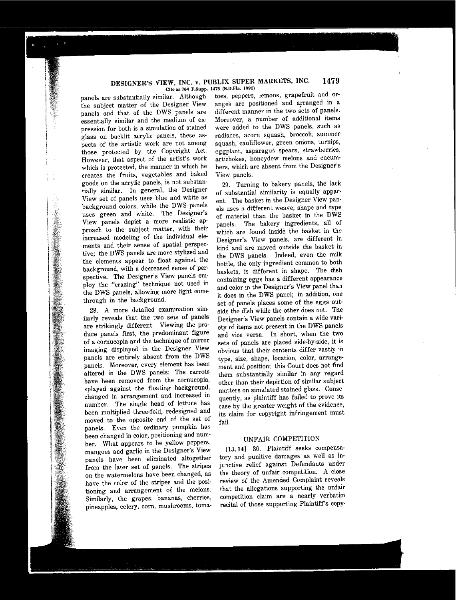#### **1479** DESIGNER'S VIEW, INC. v, PUBLIX SUPER MARKETS, INC. **Cite as 764 F.Supp. 1473 (S.D.Fla. 1991)**

panels are substantially similar. Although the subject matter of the Designer View panels and that of the DWS panels are **essentially similar and the medium of expression for both is a simulation of stained** glass on backlit acrylic panels, these as**pects of the artistic work are not among** those protected by the Copyright Act. **However, that aspect of the artist's work which is protected, the manner in which he** creates the fruits, vegetables and baked goods on the acrylic panels, is not substantially similar. In general, the Designer View set of panels uses blue and white as background colors, while the DWS panels **uses green and white. The Designer's View panels depict a more realistic ap**proach to the subject matter, with their increased modeling of the individual ele**ments and their sense of spatial perspec**tive; the DWS panels are more stylized and the elements appear to float against the **background, with a decreased sense of perspective. The Designer's View panels employ the** "crazing" **technique not used in** the DWS panels, allowing more light come through in the background.

**28. A more detailed examination sim**ilarly reveals that the two sets of panels are strikingly different. Viewing the produce panels first, the predominant figure **of a cornucopia and the technique of mirror** imaging displayed in the Designer View panels are entirely absent from the DWS **panels. Moreover, every element has been** altered in the DWS panels: The carrots **have been removed from the cornucopia,** splayed against the floating background, **changed in arrangement and increased in** number. The single head of lettuce has been multiplied three-fold, redesigned and moved to the opposite end of the set of panels. Even the ordinary pumpkin has been changed in color, positioning and number. What appears to be yellow peppers, **mangoes and garlic in the Designer's View** panels have been eliminated altogether from the later set of panels. The stripes **on the watermelons have been changed, as** have the color of the stripes and the posi**tioning and arrangement of the melons. Similarly, the grapes, bananas, cherries, pineapples, celery, corn, mushrooms,** toma-

**toes, peppers, lemons, grapefruit and oranges are positioned and arranged in a different manner in the two** sets **of panels. Moreover, a number of additional items** were added to the DWS panels, such as **radishes, acorn squash, broccoli, summer squash, cauliflower, green onions, turnips, eggplant, asparagus spears, strawberries, artichokes, honeydew melons and cucumbers, which are absent from the Designer's View panels.**

29. Turning to bakery panels, the lack of substantial similarity is equally apparent. The basket in the Designer View pan**els uses a different weave, shape and type** of material than the basket in the DWS panels. The bakery ingredients, all of which are found inside the basket in the **Designer's View panels, are different in** kind and are moved outside the basket in the DWS panels. Indeed, even the milk bottle, the only ingredient common to both baskets, is different in shape. The dish containing eggs has a different appearance and color in the Designer's View panel than it does in the DWS panel; in addition, one set of panels places some of the eggs outside the dish while the other does not. The **Designer's View panels contain a wide vari**ety of items not present in the DWS panels **and vice versa. In short, when the two** sets of panels are placed side-by-side, it is obvious that their contents differ vastly in **type, size, shape, location, color, arrange**ment and position; this Court does not find them substantially similar in any regard other than their depiction of similar subject **matters on simulated stained glass. Conse**quently, as plaintiff has failed to prove its case by the greater weight of the evidence, its claim for copyright infringement must fail.

# UNFAIR COMPETITION

[13,14] 30. Plaintiff seeks compensa**tory and punitive damages as well as in**junctive relief against Defendants under the theory of unfair competition. A close review of the Amended Complaint reveals that the allegations supporting the unfair **competition claim are a nearly verbatim** recital of those supporting Plaintiff's copy-